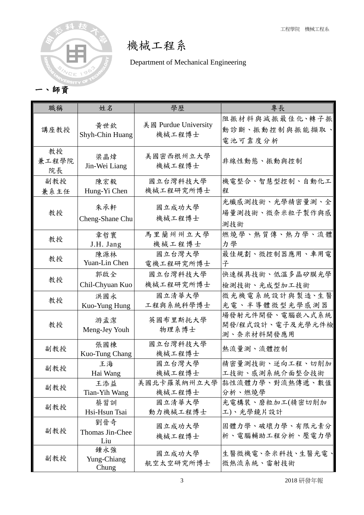

機械工程系

Department of Mechanical Engineering

| 職稱                | 姓名                            | 學歷                             | 專長                                                |
|-------------------|-------------------------------|--------------------------------|---------------------------------------------------|
| 講座教授              | 黄世欽<br>Shyh-Chin Huang        | 美國 Purdue University<br>機械工程博士 | 阻振材料與減振最佳化、轉子振<br>動診斷、振動控制與振能擷取、<br>電池可靠度分析       |
| 教授<br>兼工程學院<br>院長 | 梁晶煒<br>Jin-Wei Liang          | 美國密西根州立大學<br>機械工程博士            | 非線性動態、振動與控制                                       |
| 副教授               | 陳宏毅                           | 國立台灣科技大學                       | 機電整合、智慧型控制、自動化工                                   |
| 兼系主任              | Hung-Yi Chen                  | 機械工程研究所博士                      | 程                                                 |
| 教授                | 朱承軒<br>Cheng-Shane Chu        | 國立成功大學<br>機械工程博士               | 光纖感測技術、光學精密量測、全<br>場量測技術、微奈米粒子製作與感<br>測技術         |
| 教授                | 章哲寰                           | 馬里蘭州州立大學                       | 燃燒學、熱質傳、熱力學、流體                                    |
|                   | J.H. Jang                     | 機械工程博士                         | 力學                                                |
| 教授                | 陳源林                           | 國立台灣大學                         | 最佳規劃、微控制器應用、車用電                                   |
|                   | Yuan-Lin Chen                 | 電機工程研究所博士                      | 子                                                 |
| 教授                | 郭啟全                           | 國立台灣科技大學                       | 快速模具技術、低溫多晶矽膜光學                                   |
|                   | Chil-Chyuan Kuo               | 機械工程研究所博士                      | 檢測技術、光成型加工技術                                      |
| 教授                | 洪國永                           | 國立清華大學                         | 微光機電系統設計與製造、生醫                                    |
|                   | Kuo-Yung Hung                 | 工程與系統科學博士                      | 光電、半導體微型光學感測器                                     |
| 教授                | 游孟潔<br>Meng-Jey Youh          | 英國布里斯托大學<br>物理系博士              | 場發射元件開發、電腦嵌入式系統<br>開發/程式設計、電子及光學元件檢<br>測、奈米材料開發應用 |
| 副教授               | 張國棟<br>Kuo-Tung Chang         | 國立台灣科技大學<br>機械工程博士             | 熱流量測、流體控制                                         |
| 副教授               | 王海                            | 國立台灣大學                         | 精密量測技術、逆向工程、切削加                                   |
|                   | Hai Wang                      | 機械工程博士                         | 工技術、感測系統介面整合技術                                    |
| 副教授               | 王添益                           | 美國北卡羅萊納州立大學                    | 黏性流體力學、對流熱傳遞、數值                                   |
|                   | Tian-Yih Wang                 | 機械工程博士                         | 分析、燃燒學                                            |
| 副教授               | 蔡習訓                           | 國立清華大學                         | 光電構裝、磨粒加工(精密切削加                                   |
|                   | Hsi-Hsun Tsai                 | 動力機械工程博士                       | 工)、光學鏡片設計                                         |
| 副教授               | 劉晉奇<br>Thomas Jin-Chee<br>Liu | 國立成功大學<br>機械工程博士               | 固體力學、破壞力學、有限元素分<br>析、電腦輔助工程分析、壓電力學                |
| 副教授               | 鍾永強<br>Yung-Chiang<br>Chung   | 國立成功大學<br>航空太空研究所博士            | 生醫微機電、奈米科技、生醫光電<br>微熱流系統、雷射技術                     |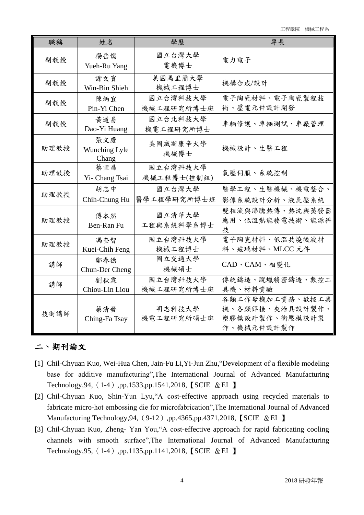工程學院 機械工程系

| 職稱   | 姓名                            | 學歷                      | 專長                                                                 |
|------|-------------------------------|-------------------------|--------------------------------------------------------------------|
| 副教授  | 楊岳儒<br>Yueh-Ru Yang           | 國立台灣大學<br>電機博士          | 電力電子                                                               |
| 副教授  | 謝文賓<br>Win-Bin Shieh          | 美國馬里蘭大學<br>機械工程博士       | 機構合成/設計                                                            |
| 副教授  | 陳炳宜<br>Pin-Yi Chen            | 國立台灣科技大學<br>機械工程研究所博士班  | 電子陶瓷材料、電子陶瓷製程技<br>術、壓電元件設計開發                                       |
| 副教授  | 黃道易<br>Dao-Yi Huang           | 國立台北科技大學<br>機電工程研究所博士   | 車輛修護、車輛測試、車廠管理                                                     |
| 助理教授 | 張文慶<br>Wunching Lyle<br>Chang | 美國威斯康辛大學<br>機械博士        | 機械設計、生醫工程                                                          |
| 助理教授 | 蔡宜昌<br>Yi- Chang Tsai         | 國立台灣科技大學<br>機械工程博士(控制組) | 氣壓伺服、系統控制                                                          |
| 助理教授 | 胡志中<br>Chih-Chung Hu          | 國立台灣大學<br>醫學工程學研究所博士班   | 醫學工程、生醫機械、機電整合、<br>影像系統設計分析、液氣壓系統                                  |
| 助理教授 | 傅本然<br>Ben-Ran Fu             | 國立清華大學<br>工程與系統科學系博士    | 雙相流與沸騰熱傳、熱沈與蒸發器<br>應用、低溫熱能發電技術、能源科 <br>技                           |
| 助理教授 | 馮奎智<br>Kuei-Chih Feng         | 國立台灣科技大學<br>機械工程博士      | 電子陶瓷材料、低溫共燒微波材<br>料、玻璃材料、MLCC 元件                                   |
| 講師   | 鄭春德<br>Chun-Der Cheng         | 國立交通大學<br>機械碩士          | CAD、CAM、相變化                                                        |
| 講師   | 劉秋霖<br>Chiou-Lin Liou         | 國立台灣科技大學<br>機械工程研究所博士班  | 傳統鑄造、脫蠟精密鑄造、數控工<br>具機、材料實驗                                         |
| 技術講師 | 蔡清發<br>Ching-Fa Tsay          | 明志科技大學<br>機電工程研究所碩士班    | 各類工作母機加工實務、數控工具<br>機、各類銲接、夾治具設計製作、<br>塑膠模設計製作、衝壓模設計製<br>作、機械元件設計製作 |

### 二、期刊論文

- [1] Chil-Chyuan Kuo, Wei-Hua Chen, Jain-Fu Li,Yi-Jun Zhu,"Development of a flexible modeling base for additive manufacturing",The International Journal of Advanced Manufacturing Technology,94,(1-4),pp.1533,pp.1541,2018,【SCIE &EI 】
- [2] Chil-Chyuan Kuo, Shin-Yun Lyu,"A cost-effective approach using recycled materials to fabricate micro-hot embossing die for microfabrication",The International Journal of Advanced Manufacturing Technology, 94, (9-12), pp.4365, pp.4371, 2018, [SCIE & EI ]
- [3] Chil-Chyuan Kuo, Zheng- Yan You,"A cost-effective approach for rapid fabricating cooling channels with smooth surface",The International Journal of Advanced Manufacturing Technology,95,(1-4),pp.1135,pp.1141,2018,【SCIE &EI 】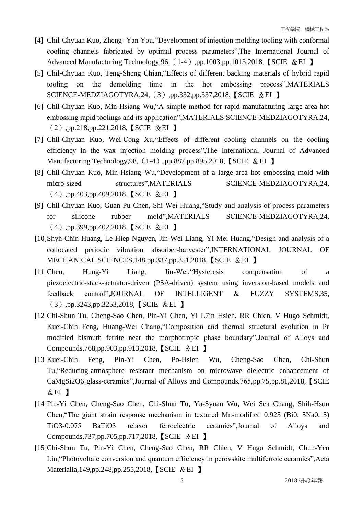- [4] Chil-Chyuan Kuo, Zheng- Yan You,"Development of injection molding tooling with conformal cooling channels fabricated by optimal process parameters",The International Journal of Advanced Manufacturing Technology, 96, (1-4), pp.1003, pp.1013, 2018, [SCIE & EI ]
- [5] Chil-Chyuan Kuo, Teng-Sheng Chian,"Effects of different backing materials of hybrid rapid tooling on the demolding time in the hot embossing process",MATERIALS SCIENCE-MEDZIAGOTYRA,24,(3),pp.332,pp.337,2018,【SCIE &EI 】
- [6] Chil-Chyuan Kuo, Min-Hsiang Wu,"A simple method for rapid manufacturing large-area hot embossing rapid toolings and its application",MATERIALS SCIENCE-MEDZIAGOTYRA,24, (2),pp.218,pp.221,2018,【SCIE &EI 】
- [7] Chil-Chyuan Kuo, Wei-Cong Xu,"Effects of different cooling channels on the cooling efficiency in the wax injection molding process",The International Journal of Advanced Manufacturing Technology,98,(1-4),pp.887,pp.895,2018,【SCIE &EI 】
- [8] Chil-Chyuan Kuo, Min-Hsiang Wu,"Development of a large-area hot embossing mold with micro-sized structures",MATERIALS SCIENCE-MEDZIAGOTYRA,24, (4),pp.403,pp.409,2018,【SCIE &EI 】
- [9] Chil-Chyuan Kuo, Guan-Pu Chen, Shi-Wei Huang,"Study and analysis of process parameters for silicone rubber mold",MATERIALS SCIENCE-MEDZIAGOTYRA,24, (4),pp.399,pp.402,2018,【SCIE &EI 】
- [10]Shyh-Chin Huang, Le-Hiep Nguyen, Jin-Wei Liang, Yi-Mei Huang,"Design and analysis of a collocated periodic vibration absorber-harvester",INTERNATIONAL JOURNAL OF MECHANICAL SCIENCES,148,pp.337,pp.351,2018,【SCIE &EI 】
- [11]Chen, Hung-Yi Liang, Jin-Wei,"Hysteresis compensation of a piezoelectric-stack-actuator-driven (PSA-driven) system using inversion-based models and feedback control",JOURNAL OF INTELLIGENT & FUZZY SYSTEMS,35, (3),pp.3243,pp.3253,2018,【SCIE &EI 】
- [12]Chi-Shun Tu, Cheng-Sao Chen, Pin-Yi Chen, Yi L7in Hsieh, RR Chien, V Hugo Schmidt, Kuei-Chih Feng, Huang-Wei Chang,"Composition and thermal structural evolution in Pr modified bismuth ferrite near the morphotropic phase boundary",Journal of Alloys and Compounds,768,pp.903,pp.913,2018,【SCIE &EI 】
- [13]Kuei-Chih Feng, Pin-Yi Chen, Po-Hsien Wu, Cheng-Sao Chen, Chi-Shun Tu,"Reducing-atmosphere resistant mechanism on microwave dielectric enhancement of CaMgSi2O6 glass-ceramics",Journal of Alloys and Compounds,765,pp.75,pp.81,2018,【SCIE  $&EI$  】
- [14]Pin-Yi Chen, Cheng-Sao Chen, Chi-Shun Tu, Ya-Syuan Wu, Wei Sea Chang, Shih-Hsun Chen,"The giant strain response mechanism in textured Mn-modified 0.925 (Bi0. 5Na0. 5) TiO3-0.075 BaTiO3 relaxor ferroelectric ceramics",Journal of Alloys and Compounds,737,pp.705,pp.717,2018,【SCIE &EI 】
- [15]Chi-Shun Tu, Pin-Yi Chen, Cheng-Sao Chen, RR Chien, V Hugo Schmidt, Chun-Yen Lin,"Photovoltaic conversion and quantum efficiency in perovskite multiferroic ceramics",Acta Materialia,149,pp.248,pp.255,2018, [SCIE & EI ]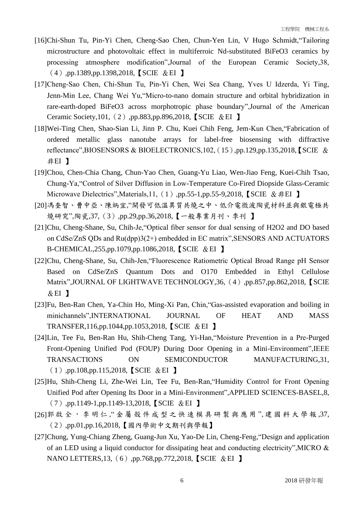- [16]Chi-Shun Tu, Pin-Yi Chen, Cheng-Sao Chen, Chun-Yen Lin, V Hugo Schmidt,"Tailoring microstructure and photovoltaic effect in multiferroic Nd-substituted BiFeO3 ceramics by processing atmosphere modification",Journal of the European Ceramic Society,38, (4),pp.1389,pp.1398,2018,【SCIE &EI 】
- [17]Cheng‐Sao Chen, Chi‐Shun Tu, Pin‐Yi Chen, Wei Sea Chang, Yves U Idzerda, Yi Ting, Jenn‐Min Lee, Chang Wei Yu,"Micro-to-nano domain structure and orbital hybridization in rare-earth-doped BiFeO3 across morphotropic phase boundary",Journal of the American Ceramic Society,101,(2),pp.883,pp.896,2018,【SCIE &EI 】
- [18]Wei-Ting Chen, Shao-Sian Li, Jinn P. Chu, Kuei Chih Feng, Jem-Kun Chen,"Fabrication of ordered metallic glass nanotube arrays for label-free biosensing with diffractive reflectance",BIOSENSORS & BIOELECTRONICS,102,(15),pp.129,pp.135,2018,【SCIE & 非EI 】
- [19]Chou, Chen-Chia Chang, Chun-Yao Chen, Guang-Yu Liao, Wen-Jiao Feng, Kuei-Chih Tsao, Chung-Ya,"Control of Silver Diffusion in Low-Temperature Co-Fired Diopside Glass-Ceramic Microwave Dielectrics", Materials, 11,  $(1)$ , pp.55-1, pp.55-9, 2018, SCIE &  $#EI$  】
- [20]馮奎智、曹中亞、陳炳宜,"開發可低溫異質共燒之中、低介電微波陶瓷材料並與銀電極共 燒研究",陶瓷,37,(3),pp.29,pp.36,2018,【一般專業月刊、季刊 】
- [21]Chu, Cheng-Shane, Su, Chih-Je,"Optical fiber sensor for dual sensing of H2O2 and DO based on CdSe/ZnS QDs and Ru(dpp)3(2+) embedded in EC matrix",SENSORS AND ACTUATORS B-CHEMICAL,255,pp.1079,pp.1086,2018,【SCIE &EI 】
- [22]Chu, Cheng-Shane, Su, Chih-Jen,"Fluorescence Ratiometric Optical Broad Range pH Sensor Based on CdSe/ZnS Quantum Dots and O170 Embedded in Ethyl Cellulose Matrix",JOURNAL OF LIGHTWAVE TECHNOLOGY,36, (4),pp.857,pp.862,2018, [SCIE  $&E1$  】
- [23]Fu, Ben-Ran Chen, Ya-Chin Ho, Ming-Xi Pan, Chin,"Gas-assisted evaporation and boiling in minichannels",INTERNATIONAL JOURNAL OF HEAT AND MASS TRANSFER,116,pp.1044,pp.1053,2018,【SCIE &EI 】
- [24]Lin, Tee Fu, Ben-Ran Hu, Shih-Cheng Tang, Yi-Han,"Moisture Prevention in a Pre-Purged Front-Opening Unified Pod (FOUP) During Door Opening in a Mini-Environment",IEEE TRANSACTIONS ON SEMICONDUCTOR MANUFACTURING,31, (1),pp.108,pp.115,2018,【SCIE &EI 】
- [25]Hu, Shih-Cheng Li, Zhe-Wei Lin, Tee Fu, Ben-Ran,"Humidity Control for Front Opening Unified Pod after Opening Its Door in a Mini-Environment",APPLIED SCIENCES-BASEL,8, (7),pp.1149-1,pp.1149-13,2018,【SCIE &EI 】
- [26]郭 啟 全 , 李 明 仁 ," 金 屬 殼 件 成 型 之 快 速 模 具 研 製 與 應 用 ", 建 國 科 大 學 報 ,37, (2),pp.01,pp.16,2018,【國內學術中文期刊與學報】
- [27]Chung, Yung-Chiang Zheng, Guang-Jun Xu, Yao-De Lin, Cheng-Feng,"Design and application of an LED using a liquid conductor for dissipating heat and conducting electricity",MICRO & NANO LETTERS,13,(6),pp.768,pp.772,2018,【SCIE &EI 】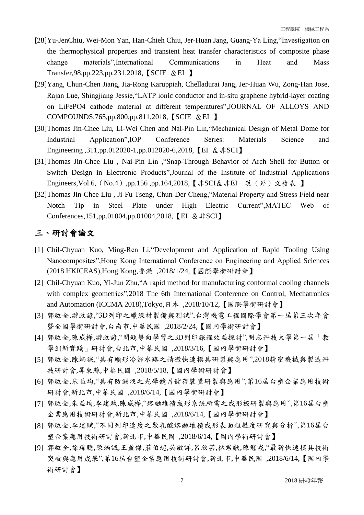- [28]Yu-JenChiu, Wei-Mon Yan, Han-Chieh Chiu, Jer-Huan Jang, Guang-Ya Ling,"Investigation on the thermophysical properties and transient heat transfer characteristics of composite phase change materials",International Communications in Heat and Mass Transfer,98,pp.223,pp.231,2018,【SCIE &EI 】
- [29]Yang, Chun-Chen Jiang, Jia-Rong Karuppiah, Chelladurai Jang, Jer-Huan Wu, Zong-Han Jose, Rajan Lue, Shingjiang Jessie,"LATP ionic conductor and in-situ graphene hybrid-layer coating on LiFePO4 cathode material at different temperatures",JOURNAL OF ALLOYS AND COMPOUNDS,765,pp.800,pp.811,2018,【SCIE &EI 】
- [30]Thomas Jin-Chee Liu, Li-Wei Chen and Nai-Pin Lin,"Mechanical Design of Metal Dome for Industrial Application",IOP Conference Series: Materials Science and Engineering ,311,pp.012020-1,pp.012020-6,2018, 【EI &非SCI】
- [31]Thomas Jin-Chee Liu , Nai-Pin Lin ,"Snap-Through Behavior of Arch Shell for Button or Switch Design in Electronic Products",Journal of the Institute of Industrial Applications Engineers, Vol.6, (No.4),pp.156,pp.164, 2018, 【非SCI&非EI-英(外)文發表 】
- [32]Thomas Jin-Chee Liu, Ji-Fu Tseng, Chun-Der Cheng, "Material Property and Stress Field near Notch Tip in Steel Plate under High Electric Current",MATEC Web of Conferences,151,pp.01004,pp.01004,2018, 【EI &非SCI】

### 三、研討會論文

- [1] Chil-Chyuan Kuo, Ming-Ren Li,"Development and Application of Rapid Tooling Using Nanocomposites",Hong Kong International Conference on Engineering and Applied Sciences (2018 HKICEAS),Hong Kong,香港 ,2018/1/24,【國際學術研討會】
- [2] Chil-Chyuan Kuo, Yi-Jun Zhu,"A rapid method for manufacturing conformal cooling channels with complex geometrics",2018 The 6th International Conference on Control, Mechatronics and Automation (ICCMA 2018),Tokyo,日本 ,2018/10/12,【國際學術研討會】
- [3] 郭啟全,游政諺,"3D列印之蠟線材製備與測試",台灣機電工程國際學會第一屆第三次年會 暨全國學術研討會,台南市,中華民國 ,2018/2/24,【國內學術研討會】
- [4] 郭啟全,陳威樺,游政諺,"問題導向學習之3D列印課程效益探討",明志科技大學第一屆「教 學創新實踐」研討會,台北市,中華民國 ,2018/3/16,【國內學術研討會】
- [5] 郭啟全,陳炳誠,"具有順形冷卻水路之精微快速模具研製與應用",2018精密機械與製造科 技研討會,屏東縣,中華民國 ,2018/5/18,【國內學術研討會】
- [6] 郭啟全,朱益均,"具有防漏液之光學鏡片儲存裝置研製與應用",第16屆台塑企業應用技術 研討會,新北市,中華民國 ,2018/6/14,【國內學術研討會】
- [7] 郭啟全,朱益均,李建賦,陳威樺,"熔融堆積成形系統所需之成形板研製與應用",第16屆台塑 企業應用技術研討會,新北市,中華民國 ,2018/6/14,【國內學術研討會】
- [8] 郭啟全,李建賦,"不同列印速度之聚乳酸熔融堆積成形表面粗糙度研究與分析",第16屆台 塑企業應用技術研討會,新北市,中華民國 ,2018/6/14,【國內學術研討會】
- [9] 郭啟全,徐瑋聰,陳炳誠,王盈傑,莊伯超,吳敏詳,呂欣芸,林君獻,陳冠戎,"最新快速模具技術 突破與應用成果",第16屆台塑企業應用技術研討會,新北市,中華民國 ,2018/6/14,【國內學 術研討會】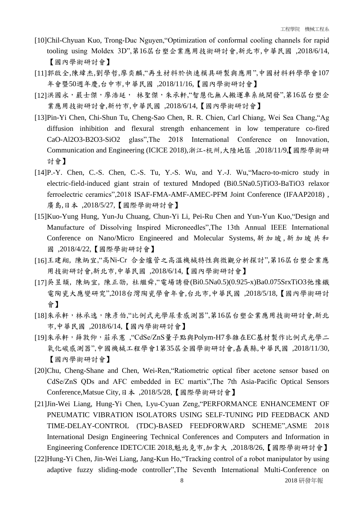- [10]Chil-Chyuan Kuo, Trong-Duc Nguyen,"Optimization of conformal cooling channels for rapid tooling using Moldex 3D",第16屆台塑企業應用技術研討會,新北市,中華民國 ,2018/6/14, 【國內學術研討會】
- [11]郭啟全,陳緯杰,劉學哲,廖奕麟,"再生材料於快速模具研製與應用",中國材料科學學會107 年會暨50週年慶,台中市,中華民國 ,2018/11/16,【國內學術研討會】
- [12]洪國永,嚴士傑,廖浩延, 林聖傑,朱承軒,"智慧化無人搬運車系統開發",第16屆台塑企 業應用技術研討會,新竹市,中華民國 ,2018/6/14,【國內學術研討會】
- [13]Pin-Yi Chen, Chi-Shun Tu, Cheng-Sao Chen, R. R. Chien, Carl Chiang, Wei Sea Chang,"Ag diffusion inhibition and flexural strength enhancement in low temperature co-fired CaO-Al2O3-B2O3-SiO2 glass",The 2018 International Conference on Innovation, Communication and Engineering (ICICE 2018),浙江-杭州,大陸地區 ,2018/11/9,【國際學術研 討會】
- [14]P.-Y. Chen, C.-S. Chen, C.-S. Tu, Y.-S. Wu, and Y.-J. Wu, Macro-to-micro study in electric-field-induced giant strain of textured Mndoped (Bi0.5Na0.5)TiO3-BaTiO3 relaxor ferroelectric ceramics",2018 ISAF-FMA-AMF-AMEC-PFM Joint Conference (IFAAP2018) , 廣島,日本 ,2018/5/27,【國際學術研討會】
- [15]Kuo-Yung Hung, Yun-Ju Chuang, Chun-Yi Li, Pei-Ru Chen and Yun-Yun Kuo,"Design and Manufacture of Dissolving Inspired Microneedles",The 13th Annual IEEE International Conference on Nano/Micro Engineered and Molecular Systems, 新加坡, 新加坡共和 國 ,2018/4/22,【國際學術研討會】
- [16]王建翔, 陳炳宜,"高Ni-Cr 合金爐管之高溫機械特性與微觀分析探討",第16屆台塑企業應 用技術研討會,新北市,中華民國 ,2018/6/14,【國內學術研討會】
- [17]吳昱頡, 陳炳宜, 陳正劭, 杜繼舜,"電場誘發(Bi0.5Na0.5)(0.925-x)Ba0.075SrxTiO3弛豫鐵 電陶瓷大應變研究",2018台灣陶瓷學會年會,台北市,中華民國 ,2018/5/18,【國內學術研討 會】
- [18]朱承軒,林承逸,陳彥伯,"比例式光學尿素感測器",第16屆台塑企業應用技術研討會,新北 市,中華民國 ,2018/6/14,【國內學術研討會】
- [19]朱承軒,薛敦仰,莊承憲 ,"CdSe/ZnS量子點與Polym-H7參雜在EC基材製作比例式光學二 氧化碳感測器",中國機械工程學會1第35屆全國學術研討會,嘉義縣,中華民國 ,2018/11/30, 【國內學術研討會】
- [20]Chu, Cheng-Shane and Chen, Wei-Ren,"Ratiometric optical fiber acetone sensor based on CdSe/ZnS QDs and AFC embedded in EC martix",The 7th Asia-Pacific Optical Sensors Conference,Matsue City,日本 ,2018/5/28,【國際學術研討會】
- [21]Jin-Wei Liang, Hung-Yi Chen, Lyu-Cyuan Zeng,"PERFORMANCE ENHANCEMENT OF PNEUMATIC VIBRATION ISOLATORS USING SELF-TUNING PID FEEDBACK AND TIME-DELAY-CONTROL (TDC)-BASED FEEDFORWARD SCHEME",ASME 2018 International Design Engineering Technical Conferences and Computers and Information in Engineering Conference IDETC/CIE 2018,魁北克市,加拿大 ,2018/8/26,【國際學術研討會】
- [22]Hung-Yi Chen, Jin-Wei Liang, Jang-Kun Ho,"Tracking control of a robot manipulator by using adaptive fuzzy sliding-mode controller",The Seventh International Multi-Conference on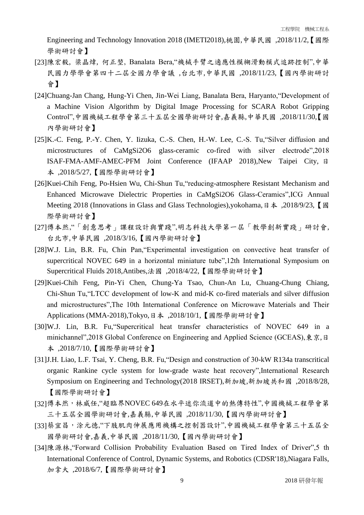Engineering and Technology Innovation 2018 (IMETI2018),桃園,中華民國 ,2018/11/2,【國際 學術研討會】

- [23]陳宏毅, 梁晶煒, 何正堃, Banalata Bera,"機械手臂之適應性模糊滑動模式追跡控制",中華 民國力學學會第四十二屆全國力學會議 ,台北市,中華民國 ,2018/11/23,【國內學術研討 會】
- [24]Chuang-Jan Chang, Hung-Yi Chen, Jin-Wei Liang, Banalata Bera, Haryanto,"Development of a Machine Vision Algorithm by Digital Image Processing for SCARA Robot Gripping Control",中國機械工程學會第三十五屆全國學術研討會,嘉義縣,中華民國 ,2018/11/30,【國 內學術研討會】
- [25] K.-C. Feng, P.-Y. Chen, Y. Iizuka, C.-S. Chen, H.-W. Lee, C.-S. Tu, Silver diffusion and microstructures of CaMgSi2O6 glass-ceramic co-fired with silver electrode",2018 ISAF-FMA-AMF-AMEC-PFM Joint Conference (IFAAP 2018),New Taipei City, 日 本 ,2018/5/27,【國際學術研討會】
- [26]Kuei-Chih Feng, Po-Hsien Wu, Chi-Shun Tu,"reducing-atmosphere Resistant Mechanism and Enhanced Microwave Dielectric Properties in CaMgSi2O6 Glass-Ceramics",ICG Annual Meeting 2018 (Innovations in Glass and Glass Technologies),yokohama,日本, 2018/9/23,【國 際學術研討會】
- [27]傅本然,"「創意思考」課程設計與實踐",明志科技大學第一屆「教學創新實踐」研討會, 台北市,中華民國 ,2018/3/16,【國內學術研討會】
- [28]W.J. Lin, B.R. Fu, Chin Pan,"Experimental investigation on convective heat transfer of supercritical NOVEC 649 in a horizontal miniature tube",12th International Symposium on Supercritical Fluids 2018,Antibes,法國 ,2018/4/22,【國際學術研討會】
- [29]Kuei-Chih Feng, Pin-Yi Chen, Chung-Ya Tsao, Chun-An Lu, Chuang-Chung Chiang, Chi-Shun Tu,"LTCC development of low-K and mid-K co-fired materials and silver diffusion and microstructures",The 10th International Conference on Microwave Materials and Their Applications (MMA-2018),Tokyo,日本 ,2018/10/1,【國際學術研討會】
- [30]W.J. Lin, B.R. Fu,"Supercritical heat transfer characteristics of NOVEC 649 in a minichannel",2018 Global Conference on Engineering and Applied Science (GCEAS),東京,日 本 ,2018/7/10,【國際學術研討會】
- [31]J.H. Liao, L.F. Tsai, Y. Cheng, B.R. Fu,"Design and construction of 30-kW R134a transcritical organic Rankine cycle system for low-grade waste heat recovery",International Research Symposium on Engineering and Technology(2018 IRSET),新加坡,新加坡共和國 ,2018/8/28, 【國際學術研討會】
- [32]傅本然,林威任,"超臨界NOVEC 649在水平迷你流道中的熱傳特性",中國機械工程學會第 三十五屆全國學術研討會,嘉義縣,中華民國 ,2018/11/30,【國內學術研討會】
- [33]蔡宜昌,涂元德,"下肢肌肉伸展應用機構之控制器設計",中國機械工程學會第三十五屆全 國學術研討會,嘉義,中華民國 ,2018/11/30,【國內學術研討會】
- [34]陳源林, "Forward Collision Probability Evaluation Based on Tired Index of Driver", 5 th International Conference of Control, Dynamic Systems, and Robotics (CDSR'18),Niagara Falls, 加拿大 ,2018/6/7,【國際學術研討會】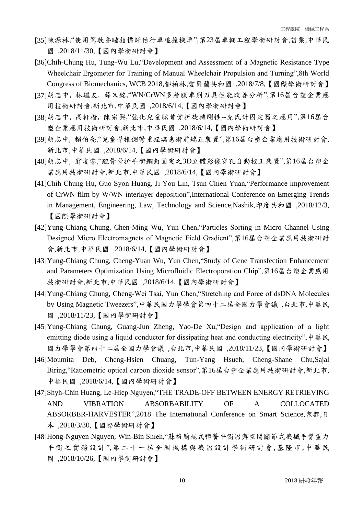- [35]陳源林,"使用駕駛昏睡指標評估行車追撞機率",第23屆車輛工程學術研討會,苗栗,中華民 國 ,2018/11/30,【國內學術研討會】
- [36]Chih-Chung Hu, Tung-Wu Lu,"Development and Assessment of a Magnetic Resistance Type Wheelchair Ergometer for Training of Manual Wheelchair Propulsion and Turning",8th World Congress of Biomechanics, WCB 2018,都柏林,愛爾蘭共和國 ,2018/7/8,【國際學術研討會】
- [37]胡志中, 林繼友, 薛又銘,"WN/CrWN多層膜車削刀具性能改善分析",第16屆台塑企業應 用技術研討會,新北市,中華民國 ,2018/6/14,【國內學術研討會】
- [38]胡志中, 高軒楷, 陳宗興,"強化兒童肱骨骨折旋轉剛性--克氏針固定器之應用",第16屆台 塑企業應用技術研討會,新北市,中華民國 ,2018/6/14,【國內學術研討會】
- [39]胡志中, 賴伯亮,"兒童脊椎側彎重症病患術前矯正裝置",第16屆台塑企業應用技術研討會, 新北市,中華民國 ,2018/6/14,【國內學術研討會】
- [40]胡志中, 翁浚睿,"蹠骨骨折手術鋼釘固定之3D立體影像穿孔自動校正裝置",第16屆台塑企 業應用技術研討會,新北市,中華民國 ,2018/6/14,【國內學術研討會】
- [41]Chih Chung Hu, Guo Syon Huang, Ji You Lin, Tsun Chien Yuan,"Performance improvement of CrWN film by W/WN interlayer deposition",International Conference on Emerging Trends in Management, Engineering, Law, Technology and Science,Nashik,印度共和國 ,2018/12/3, 【國際學術研討會】
- [42]Yung-Chiang Chung, Chen-Ming Wu, Yun Chen,"Particles Sorting in Micro Channel Using Designed Micro Electromagnets of Magnetic Field Gradient",第16屆台塑企業應用技術研討 會,新北市,中華民國 ,2018/6/14,【國內學術研討會】
- [43]Yung-Chiang Chung, Cheng-Yuan Wu, Yun Chen,"Study of Gene Transfection Enhancement and Parameters Optimization Using Microfluidic Electroporation Chip",第16屆台塑企業應用 技術研討會,新北市,中華民國 ,2018/6/14,【國內學術研討會】
- [44]Yung-Chiang Chung, Cheng-Wei Tsai, Yun Chen,"Stretching and Force of dsDNA Molecules by Using Magnetic Tweezers",中華民國力學學會第四十二屆全國力學會議 ,台北市,中華民 國 ,2018/11/23,【國內學術研討會】
- [45]Yung-Chiang Chung, Guang-Jun Zheng, Yao-De Xu,"Design and application of a light emitting diode using a liquid conductor for dissipating heat and conducting electricity",  $\psi \neq \mathbb{R}$ 國力學學會第四十二屆全國力學會議 ,台北市,中華民國 ,2018/11/23,【國內學術研討會】
- [46]Moumita Deb, Cheng-Hsien Chuang, Tun-Yang Hsueh, Cheng-Shane Chu,Sajal Biring,"Ratiometric optical carbon dioxide sensor",第16屆台塑企業應用技術研討會,新北市, 中華民國 ,2018/6/14,【國內學術研討會】
- [47]Shyh-Chin Huang, Le-Hiep Nguyen,"THE TRADE-OFF BETWEEN ENERGY RETRIEVING AND VIBRATION ABSORBABILITY OF A COLLOCATED ABSORBER-HARVESTER",2018 The International Conference on Smart Science,京都,日 本 ,2018/3/30,【國際學術研討會】
- [48]Hong-Nguyen Nguyen, Win-Bin Shieh,"蘇格蘭軛式彈簧平衡器與空間關節式機械手臂重力 平衡之實務設計",第二十一屆全國機構與機器設計學術研討會 ,基隆市,中華民 國 ,2018/10/26,【國內學術研討會】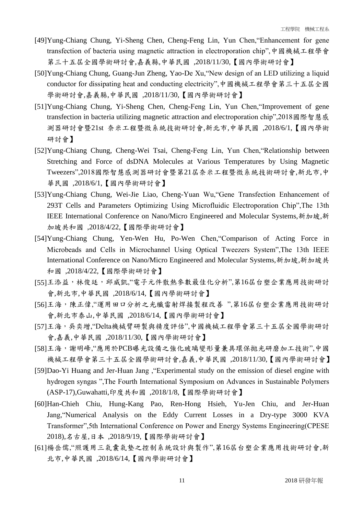- [49]Yung-Chiang Chung, Yi-Sheng Chen, Cheng-Feng Lin, Yun Chen,"Enhancement for gene transfection of bacteria using magnetic attraction in electroporation chip",中國機械工程學會 第三十五屆全國學術研討會,嘉義縣,中華民國 ,2018/11/30,【國內學術研討會】
- [50]Yung-Chiang Chung, Guang-Jun Zheng, Yao-De Xu,"New design of an LED utilizing a liquid conductor for dissipating heat and conducting electricity",中國機械工程學會第三十五屆全國 學術研討會,嘉義縣,中華民國 ,2018/11/30,【國內學術研討會】
- [51]Yung-Chiang Chung, Yi-Sheng Chen, Cheng-Feng Lin, Yun Chen,"Improvement of gene transfection in bacteria utilizing magnetic attraction and electroporation chip",2018國際智慧感 測器研討會暨21st 奈米工程暨微系統技術研討會,新北市,中華民國 ,2018/6/1,【國內學術 研討會】
- [52]Yung-Chiang Chung, Cheng-Wei Tsai, Cheng-Feng Lin, Yun Chen,"Relationship between Stretching and Force of dsDNA Molecules at Various Temperatures by Using Magnetic Tweezers",2018國際智慧感測器研討會暨第21屆奈米工程暨微系統技術研討會,新北市,中 華民國 ,2018/6/1,【國內學術研討會】
- [53]Yung-Chiang Chung, Wei-Jie Liao, Cheng-Yuan Wu,"Gene Transfection Enhancement of 293T Cells and Parameters Optimizing Using Microfluidic Electroporation Chip",The 13th IEEE International Conference on Nano/Micro Engineered and Molecular Systems, 新加坡, 新 加坡共和國 ,2018/4/22,【國際學術研討會】
- [54]Yung-Chiang Chung, Yen-Wen Hu, Po-Wen Chen,"Comparison of Acting Force in Microbeads and Cells in Microchannel Using Optical Tweezers System",The 13th IEEE International Conference on Nano/Micro Engineered and Molecular Systems,新加坡,新加坡共 和國 ,2018/4/22,【國際學術研討會】
- [55]王添益,林俊廷,邱威凱,"電子元件散熱參數最佳化分析",第16屆台塑企業應用技術研討 會,新北市,中華民國 ,2018/6/14,【國內學術研討會】
- [56]王海,陳正偉,"運用田口分析之光纖雷射焊接製程改善",第16屆台塑企業應用技術研討 會,新北市泰山,中華民國 ,2018/6/14,【國內學術研討會】
- [57]王海,吳奕增,"Delta機械臂研製與精度評估",中國機械工程學會第三十五屆全國學術研討 會,嘉義,中華民國 ,2018/11/30,【國內學術研討會】
- [58]王海,謝明峰,"應用於PCB曝光設備之強化玻璃變形量兼具環保拋光研磨加工技術",中國 機械工程學會第三十五屆全國學術研討會,嘉義,中華民國 ,2018/11/30,【國內學術研討會】
- [59]Dao-Yi Huang and Jer-Huan Jang ,"Experimental study on the emission of diesel engine with hydrogen syngas ",The Fourth International Symposium on Advances in Sustainable Polymers (ASP-17),Guwahatti,印度共和國 ,2018/1/8,【國際學術研討會】
- [60]Han-Chieh Chiu, Hung-Kang Pao, Ren-Hong Hsieh, Yu-Jen Chiu, and Jer-Huan Jang,"Numerical Analysis on the Eddy Current Losses in a Dry-type 3000 KVA Transformer",5th International Conference on Power and Energy Systems Engineering(CPESE 2018),名古屋,日本 ,2018/9/19,【國際學術研討會】
- [61]楊岳儒,"照護用三氣囊氣墊之控制系統設計與製作",第16屆台塑企業應用技術研討會,新 北市,中華民國 ,2018/6/14,【國內學術研討會】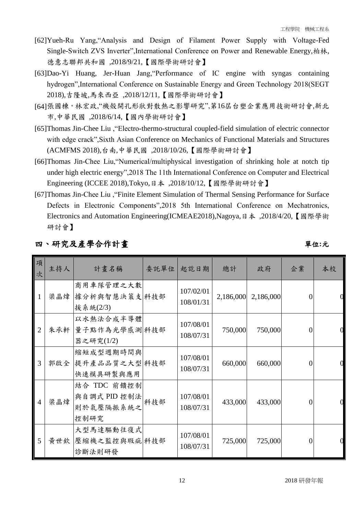- [62]Yueh-Ru Yang,"Analysis and Design of Filament Power Supply with Voltage-Fed Single-Switch ZVS Inverter",International Conference on Power and Renewable Energy,柏林, 德意志聯邦共和國 ,2018/9/21,【國際學術研討會】
- [63]Dao-Yi Huang, Jer-Huan Jang,"Performance of IC engine with syngas containing hydrogen",International Conference on Sustainable Energy and Green Technology 2018(SEGT 2018),吉隆坡,馬來西亞 ,2018/12/11,【國際學術研討會】
- [64]張國棟,林宏政,"機殼開孔形狀對散熱之影響研究",第16屆台塑企業應用技術研討會,新北 市,中華民國 ,2018/6/14,【國內學術研討會】
- [65]Thomas Jin-Chee Liu ,"Electro-thermo-structural coupled-field simulation of electric connector with edge crack",Sixth Asian Conference on Mechanics of Functional Materials and Structures (ACMFMS 2018),台南,中華民國 ,2018/10/26,【國際學術研討會】
- [66]Thomas Jin-Chee Liu,"Numerical/multiphysical investigation of shrinking hole at notch tip under high electric energy",2018 The 11th International Conference on Computer and Electrical Engineering (ICCEE 2018),Tokyo,日本 ,2018/10/12,【國際學術研討會】
- [67]Thomas Jin-Chee Liu ,"Finite Element Simulation of Thermal Sensing Performance for Surface Defects in Electronic Components",2018 5th International Conference on Mechatronics, Electronics and Automation Engineering(ICMEAE2018),Nagoya,日本 ,2018/4/20,【國際學術 研討會】

| 項<br>次         | 主持人 | 計畫名稱                                             |     | 委託單位 起訖日期              | 總計        | 政府        | 企業             | 本校 |
|----------------|-----|--------------------------------------------------|-----|------------------------|-----------|-----------|----------------|----|
| 1              | 梁晶煒 | 商用車隊管理之大數<br>據分析與智慧決策支 科技部<br>援系統(2/3)           |     | 107/02/01<br>108/01/31 | 2,186,000 | 2,186,000 | $\Omega$       |    |
| 2              |     | 以水熱法合成半導體<br>朱承軒 量子點作為光學感測 科技部<br>器之研究(1/2)      |     | 107/08/01<br>108/07/31 | 750,000   | 750,000   | 0              |    |
| 3              |     | 縮短成型週期時間與<br>郭啟全 提升產品品質之大型 科技部<br>快速模具研製與應用      |     | 107/08/01<br>108/07/31 | 660,000   | 660,000   | $\Omega$       |    |
| $\overline{4}$ | 梁晶煒 | 結合 TDC 前饋控制<br>與自調式 PID 控制法<br>則於氣壓隔振系統之<br>控制研究 | 科技部 | 107/08/01<br>108/07/31 | 433,000   | 433,000   | 0              |    |
| 5              |     | 大型馬達驅動往復式<br>黃世欽 壓縮機之監控與瑕疵 科技部<br>診斷法則研發         |     | 107/08/01<br>108/07/31 | 725,000   | 725,000   | $\overline{0}$ |    |

### 四、研究及產學合作計畫單位**:**元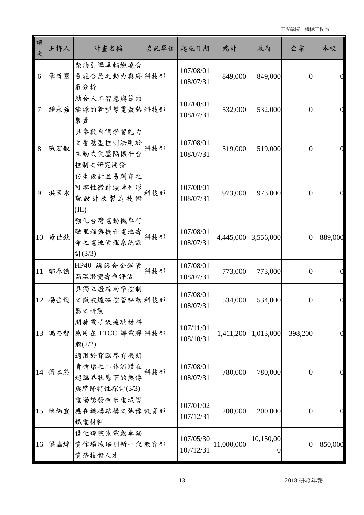| 項<br>次        | 主持人 | 計畫名稱                                                | 委託單位 | 起訖日期                   | 總計         | 政府                          | 企業               | 本校      |
|---------------|-----|-----------------------------------------------------|------|------------------------|------------|-----------------------------|------------------|---------|
| 6             | 章哲寰 | 柴油引擎車輛燃燒含<br>氫混合氣之動力與廢料技部<br>氣分析                    |      | 107/08/01<br>108/07/31 | 849,000    | 849,000                     | $\overline{0}$   |         |
| 7             | 鍾永強 | 結合人工智慧與節約<br>能源的新型導電散熱科技部<br>裝置                     |      | 107/08/01<br>108/07/31 | 532,000    | 532,000                     | $\overline{0}$   |         |
| 8             | 陳宏毅 | 具参數自調學習能力<br>之智慧型控制法則於<br>主動式氣壓隔振平台<br>控制之研究開發      | 科技部  | 107/08/01<br>108/07/31 | 519,000    | 519,000                     | $\overline{0}$   |         |
| 9             | 洪國永 | 仿生設計且易刺穿之<br>可溶性微針頭陣列形<br>貌設計及製造技術<br>(III)         | 科技部  | 107/08/01<br>108/07/31 | 973,000    | 973,000                     | 0                |         |
| 10            | 黄世欽 | 強化台灣電動機車行<br>駛里程與提升電池壽<br>命之電池管理系統設<br>計(3/3)       | 科技部  | 107/08/01<br>108/07/31 | 4,445,000  | 3,556,000                   | $\overline{0}$   | 889,000 |
| 11            | 鄭春德 | HP40 鎳鉻合金鋼管<br>高溫潛變壽命評估                             | 科技部  | 107/08/01<br>108/07/31 | 773,000    | 773,000                     | $\overline{0}$   |         |
| 12            | 楊岳儒 | 具獨立燈絲功率控制<br>之微波爐磁控管驅動科技部<br>器之研製                   |      | 107/08/01<br>108/07/31 | 534,000    | 534,000                     | $\overline{0}$   |         |
| 13            | 馮奎智 | 開發電子級玻璃材料<br>應用在 LTCC 導電膠 科技部<br>體(2/2)             |      | 107/11/01<br>108/10/31 |            | 1,411,200 1,013,000         | 398,200          |         |
| 14            | 傅本然 | 適用於穿臨界有機朗<br>肯循環之工作流體在<br>超臨界狀態下的熱傳<br>與壓降特性探討(3/3) | 科技部  | 107/08/01<br>108/07/31 | 780,000    | 780,000                     | $\overline{0}$   |         |
| <sup>15</sup> | 陳炳宜 | 電場誘發奈米電域響<br>應在織構結構之弛豫教育部<br>鐵電材料                   |      | 107/01/02<br>107/12/31 | 200,000    | 200,000                     | $\overline{0}$   |         |
| <b>16</b>     | 梁晶煒 | 優化跨院系電動車輛<br>實作場域培訓新一代教育部<br>實務技術人才                 |      | 107/05/30<br>107/12/31 | 11,000,000 | 10,150,00<br>$\overline{0}$ | $\boldsymbol{0}$ | 850,000 |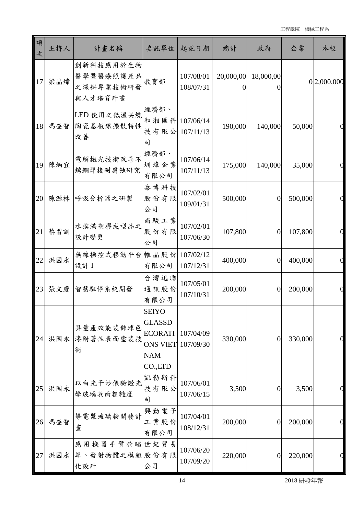| 項<br>次 | 主持人 | 計畫名稱                                           | 委託單位                                                                                                  | 起訖日期                   | 總計       | 政府                  | 企業      | 本校          |
|--------|-----|------------------------------------------------|-------------------------------------------------------------------------------------------------------|------------------------|----------|---------------------|---------|-------------|
| 17     | 梁晶煒 | 創新科技應用於生物<br>醫學暨醫療照護產品<br>之深耕專業技術研發<br>與人才培育計畫 | 教育部                                                                                                   | 107/08/01<br>108/07/31 | $\theta$ | 20,000,00 18,000,00 |         | 0 2,000,000 |
| 18     | 馮奎智 | LED 使用之低温共燒<br>陶瓷基板銀擴散特性<br>改善                 | 經濟部、<br>和湘匯科 107/06/14<br>技有限公<br>司                                                                   | 107/11/13              | 190,000  | 140,000             | 50,000  |             |
| 19     | 陳炳宜 | 電解拋光技術改善不<br>銹鋼焊接耐腐蝕研究                         | 經濟部、<br>圳瑋企業<br>有限公司                                                                                  | 107/06/14<br>107/11/13 | 175,000  | 140,000             | 35,000  |             |
| 20     | 陳源林 | 呼吸分析器之研製                                       | 泰博科技<br>股份有限<br>公司                                                                                    | 107/02/01<br>109/01/31 | 500,000  | $\overline{0}$      | 500,000 |             |
| 21     | 蔡習訓 | 水撲滿塑膠成型品之<br>設計變更                              | 尚駿工業<br>股份有限<br>公司                                                                                    | 107/02/01<br>107/06/30 | 107,800  | $\boldsymbol{0}$    | 107,800 |             |
| 22     | 洪國永 | 無線操控式移動平台帷晶股份<br>設計 I                          | 有限公司                                                                                                  | 107/02/12<br>107/12/31 | 400,000  | $\theta$            | 400,000 |             |
| 23     | 張文慶 | 智慧駐停系統開發                                       | 台灣迅聯<br>通訊股份<br>有限公司                                                                                  | 107/05/01<br>107/10/31 | 200,000  | $\theta$            | 200,000 |             |
| 24     | 洪國永 | 具量產效能裝飾球色<br>漆附著性表面塗裝技<br>術                    | <b>SEIYO</b><br><b>GLASSD</b><br><b>ECORATI</b><br><b>ONS VIET</b> 107/09/30<br><b>NAM</b><br>CO.,LTD | 107/04/09              | 330,000  | $\mathbf{0}$        | 330,000 |             |
| 25     | 洪國永 | 以白光干涉儀驗證光<br>學玻璃表面粗糙度                          | 凱勒斯科<br>技有限公<br>司                                                                                     | 107/06/01<br>107/06/15 | 3,500    | $\theta$            | 3,500   |             |
| 26     | 馮奎智 | 導電漿玻璃粉開發計<br>畫                                 | 興勤電子<br>工業股份<br>有限公司                                                                                  | 107/04/01<br>108/12/31 | 200,000  | $\theta$            | 200,000 |             |
| 27     | 洪國永 | 應用機器手臂於瞄世紀貿易<br> 準、發射物體之模組 股份有限<br>化設計         | 公司                                                                                                    | 107/06/20<br>107/09/20 | 220,000  | $\mathbf{0}$        | 220,000 |             |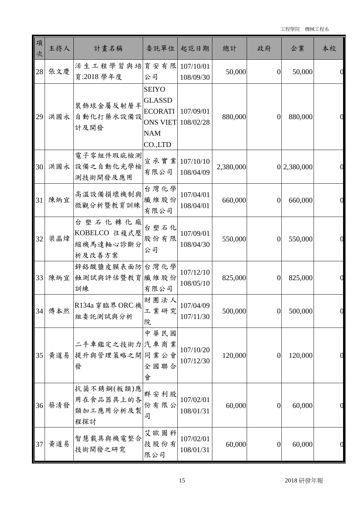| 項<br>次 | 主持人    | 計畫名稱                                           | 委託單位                                                                                        | 起訖日期                   | 總計        | 政府             | 企業            | 本校 |
|--------|--------|------------------------------------------------|---------------------------------------------------------------------------------------------|------------------------|-----------|----------------|---------------|----|
| 28     | 張文慶    | 活生工程學習與培育安有限<br>育:2018 學年度                     | 公司                                                                                          | 107/10/01<br>108/09/30 | 50,000    | $\mathbf{0}$   | 50,000        |    |
| 29     | 洪國永    | 裝飾球金屬反射層半<br>自動化打藥水設備設<br>計及開發                 | <b>SEIYO</b><br><b>GLASSD</b><br><b>ECORATI</b><br><b>ONS VIET</b><br><b>NAM</b><br>CO.,LTD | 107/09/01<br>108/02/28 | 880,000   | $\theta$       | 880,000       |    |
| 30     | 洪國永    | 電子零組件瑕疵檢測<br>設備之自動化光學檢<br>測技術開發及應用             | 宣承實業 107/10/10<br>有限公司                                                                      | 108/04/09              | 2,380,000 |                | 0 2,380,000   |    |
| 31     | 陳炳宜    | 高溫設備損壞機制與<br>微觀分析暨教育訓練                         | 台灣化學<br>纖維股份<br>有限公司                                                                        | 107/04/01<br>108/04/01 | 660,000   | $\overline{0}$ | 660,000       |    |
| 32     | 梁晶煒    | 台塑石化轉化廠<br>KOBELCO 往複式壓<br>縮機馬達軸心診斷分<br>析及改善方案 | 台塑石化<br>股份有限<br>公司                                                                          | 107/09/01<br>108/04/30 | 550,000   | $\overline{0}$ | 550,000       |    |
| 33     | 陳炳宜    | 鋅絡酸鹽皮膜表面防 台灣化學<br>蝕測試與評估暨教育纖維股份<br>訓練          | 有限公司                                                                                        | 107/12/10<br>108/05/10 | 825,000   | $\overline{0}$ | 825,000       |    |
|        | 34 傅本然 | R134a 穿臨界 ORC 機<br>組委託測試與分析                    | 財團法人<br>工業研究<br>院                                                                           | 107/04/09<br>107/11/30 | 500,000   |                | 0 <br>500,000 | U  |
| 35     | 黃道易    | 二手車鑑定之技術力汽車商業<br>提升與管理策略之開同業公會<br>發            | 中華民國<br>全國聯合<br>會                                                                           | 107/10/20<br>107/12/30 | 120,000   | $\theta$       | 120,000       |    |
| 36     | 蔡清發    | 抗菌不銹鋼(板類)應<br>用在食品器具上的各<br>類加工應用分析及製<br>程探討    | 群安利股<br>份有限公<br>司                                                                           | 107/02/01<br>108/01/31 | 60,000    | $\theta$       | 60,000        |    |
| 37     | 黃道易    | 智慧載具與機電整合<br>技術開發之研究                           | 艾歐圖科<br>技股份有<br>限公司                                                                         | 107/02/01<br>108/01/31 | 60,000    | $\theta$       | 60,000        |    |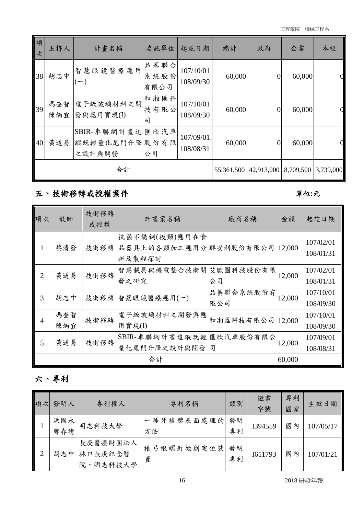| 項<br>次 | 主持人        | 計畫名稱                                       | 委託單位                 | 起訖日期                   | 總計     | 政府             | 企業        | 本校        |
|--------|------------|--------------------------------------------|----------------------|------------------------|--------|----------------|-----------|-----------|
| 38     | 胡志中        | 智慧眼鏡醫療應用<br>$\overline{\phantom{0}}$       | 品蓁聯合<br>系統股份<br>有限公司 | 107/10/01<br>108/09/30 | 60,000 | 0              | 60,000    |           |
| 39     | 馮奎智<br>陳炳宜 | 電子級玻璃材料之開<br>發與應用實現(I)                     | 和湘匯科<br>技有限公<br>司    | 107/10/01<br>108/09/30 | 60,000 | 0              | 60,000    |           |
| 40     | 黃道易        | SBIR-車聯網計畫追匯欣汽車<br>蹤既輕量化尾門升降股份有限<br>之設計與開發 | 公司                   | 107/09/01<br>108/08/31 | 60,000 | $\overline{0}$ | 60,000    |           |
|        | 合計         |                                            |                      |                        |        | 42,913,000     | 8,709,500 | 3,739,000 |

### 五、技術移轉或授權案件 **2000年** 2000年 2000年 2001年 2012年 2012年 2012年 2012年 2012年 2012年 2012年 2012年 2012年 2012年 2012年 2012年 2012年 2012年 2012年 2012年 2012年 2012年 2012年 2012年 2012年 2012年 2012年 2012年 2012年 2013年 2013年 2013年 2013年 2013年 2013

| 項次             | 教師         | 技術移轉<br>或授權 | 計畫案名稱                                                   | 廠商名稱             | 金額     | 起訖日期                   |
|----------------|------------|-------------|---------------------------------------------------------|------------------|--------|------------------------|
|                | 蔡清發        | 技術移轉        | 抗菌不銹鋼(板類)應用在食<br>品器具上的各類加工應用分群安利股份有限公司 12,000<br>析及製程探討 |                  |        | 107/02/01<br>108/01/31 |
| $\overline{2}$ | 黃道易        | 技術移轉        | 智慧載具與機電整合技術開艾歐圖科技股份有限<br>發之研究                           | 公司               | 12,000 | 107/02/01<br>108/01/31 |
| 3              | 胡志中        | 技術移轉        | 智慧眼鏡醫療應用(一)                                             | 品蓁聯合系統股份有<br>限公司 | 12,000 | 107/10/01<br>108/09/30 |
| 4              | 馮奎智<br>陳炳宜 | 技術移轉        | 電子級玻璃材料之開發與應<br>用實現(I)                                  | 和湘匯科技有限公司 12,000 |        | 107/10/01<br>108/09/30 |
| $\mathfrak{H}$ | 黃道易        | 技術移轉        | SBIR-車聯網計畫追蹤既輕歷欣汽車股份有限公<br>量化尾門升降之設計與開發                 | 司                | 12,000 | 107/09/01<br>108/08/31 |
|                |            |             | 合計                                                      |                  | 60,000 |                        |

### 六、專利

| 項次 | 發明人        | 專利權人                                | 專利名稱             | 類別       | 證書<br>字號 | 專利<br>國家 | 生效日期      |
|----|------------|-------------------------------------|------------------|----------|----------|----------|-----------|
|    | 洪國永<br>鄭春德 | 明志科技大學                              | 一種牙植體表面處理的<br>方法 | 發明<br>專利 | I394559  | 國內       | 107/05/17 |
| 2  | 胡志中        | 長庚醫療財團法人<br>林口長庚紀念醫<br>明志科技大學<br>院、 | 椎弓根螺釘微創定位裝<br>置  | 發明<br>專利 | I611793  | 國內       | 107/01/21 |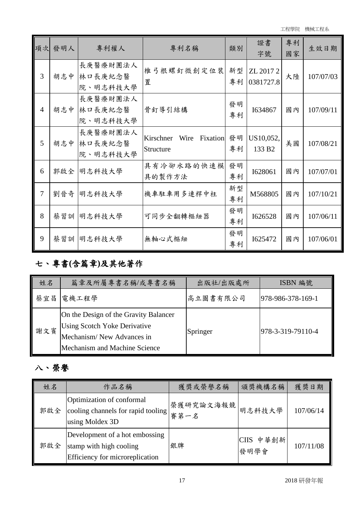工程學院 機械工程系

|                | 項次 發明人 | 專利權人                            | 專利名稱                                    | 類別       | 證書<br>字號                        | 專利<br>國家 | 生效日期      |
|----------------|--------|---------------------------------|-----------------------------------------|----------|---------------------------------|----------|-----------|
| 3              | 胡志中    | 長庚醫療財團法人<br>林口長庚紀念醫<br>院、明志科技大學 | 椎弓根螺釘微創定位裝<br>置                         | 新型<br>專利 | ZL 2017 2<br>0381727.8          | 大陸       | 107/07/03 |
| $\overline{4}$ | 胡志中    | 長庚醫療財團法人<br>林口長庚紀念醫<br>院、明志科技大學 | 骨釘導引結構                                  | 發明<br>專利 | 1634867                         | 國內       | 107/09/11 |
| 5              | 胡志中    | 長庚醫療財團法人<br>林口長庚紀念醫<br>院、明志科技大學 | Kirschner<br>Wire Fixation<br>Structure | 發明<br>專利 | US10,052,<br>133 B <sub>2</sub> | 美國       | 107/08/21 |
| 6              |        | 郭啟全  明志科技大學                     | 具有冷卻水路的快速模<br>具的製作方法                    | 發明<br>專利 | I628061                         | 國內       | 107/07/01 |
| 7              | 劉晉奇    | 明志科技大學                          | 機車駐車用多連桿中柱                              | 新型<br>專利 | M568805                         | 國內       | 107/10/21 |
| 8              |        | 蔡習訓 明志科技大學                      | 可同步全翻轉樞紐器                               | 發明<br>專利 | I626528                         | 國內       | 107/06/11 |
| 9              |        | 蔡習訓 明志科技大學                      | 無軸心式樞紐                                  | 發明<br>專利 | I625472                         | 國內       | 107/06/01 |

## 七、專書**(**含篇章**)**及其他著作

| 姓名  | 篇章及所屬專書名稱/或專書名稱                                                                                                                            | 出版社/出版處所 | ISBN 編號           |
|-----|--------------------------------------------------------------------------------------------------------------------------------------------|----------|-------------------|
| 蔡宜昌 | 電機工程學                                                                                                                                      | 高立圖書有限公司 | 978-986-378-169-1 |
| 謝文賓 | On the Design of the Gravity Balancer<br><b>Using Scotch Yoke Derivative</b><br>Mechanism/New Advances in<br>Mechanism and Machine Science | Springer | 978-3-319-79110-4 |

# 八、榮譽

| 姓名  | 作品名稱                                                                                         | 獲獎或榮譽名稱           | 頒獎機構名稱            | 獲獎日期      |
|-----|----------------------------------------------------------------------------------------------|-------------------|-------------------|-----------|
| 郭啟全 | Optimization of conformal<br>cooling channels for rapid tooling<br>using Moldex 3D           | 榮獲研究論文海報競<br>審第一名 | 明志科技大學            | 107/06/14 |
| 郭啟全 | Development of a hot embossing<br>stamp with high cooling<br>Efficiency for microreplication | 銀牌                | CIIS 中華創新<br>發明學會 | 107/11/08 |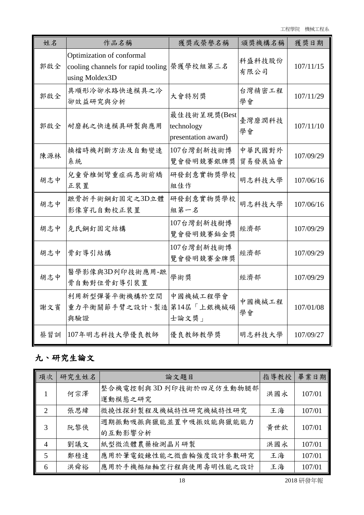工程學院 機械工程系

| 姓名  | 作品名稱                                                                              | 獲獎或榮譽名稱                                           | 頒獎機構名稱           | 獲獎日期      |
|-----|-----------------------------------------------------------------------------------|---------------------------------------------------|------------------|-----------|
| 郭啟全 | Optimization of conformal<br>cooling channels for rapid tooling<br>using Moldex3D | 榮獲學校組第三名                                          | 科盛科技股份<br>有限公司   | 107/11/15 |
| 郭啟全 | 具順形冷卻水路快速模具之冷<br>卻效益研究與分析                                                         | 大會特別獎                                             | 台灣精密工程<br>學會     | 107/11/29 |
| 郭啟全 | 耐磨耗之快速模具研製與應用                                                                     | 最佳技術呈現獎(Best<br>technology<br>presentation award) | 臺灣磨潤科技<br>學會     | 107/11/10 |
| 陳源林 | 換檔時機判斷方法及自動變速<br>系統                                                               | 107台灣創新技術博<br>覽會發明競賽銀牌獎                           | 中華民國對外<br>貿易發展協會 | 107/09/29 |
| 胡志中 | 兒童脊椎側彎重症病患術前矯<br>正裝置                                                              | 研發創意實物獎學校<br>組佳作                                  | 明志科技大學           | 107/06/16 |
| 胡志中 | 蹠骨折手術鋼釘固定之3D立體<br>影像穿孔自動校正裝置                                                      | 研發創意實物獎學校<br>組第一名                                 | 明志科技大學           | 107/06/16 |
| 胡志中 | 克氏鋼釘固定結構                                                                          | 107台灣創新技樹博<br>覽會發明競賽鉑金獎                           | 經濟部              | 107/09/29 |
| 胡志中 | 骨釘導引結構                                                                            | 107台灣創新技術博<br>覽會發明競賽金牌獎                           | 經濟部              | 107/09/29 |
| 胡志中 | 醫學影像與3D列印技術應用-蹠<br>骨自動對位骨釘導引裝置                                                    | 學術獎                                               | 經濟部              | 107/09/29 |
| 謝文賓 | 利用新型彈簧平衡機構於空間<br>重力平衡關節手臂之設計、製造<br>與驗證                                            | 中國機械工程學會<br>第14屆「上銀機械碩<br>士論文獎」                   | 中國機械工程<br>學會     | 107/01/08 |
| 蔡習訓 | 107年明志科技大學優良教師                                                                    | 優良教師教學獎                                           | 明志科技大學           | 107/09/27 |

## 九、研究生論文

| 項次                          | 研究生姓名 | 論文題目                   | 指導教授 | 畢業日期   |
|-----------------------------|-------|------------------------|------|--------|
|                             | 何宗澤   | 整合機電控制與3D列印技術於四足仿生動物腿部 | 洪國永  | 107/01 |
|                             |       | 運動模態之研究                |      |        |
| $\mathcal{D}_{\mathcal{L}}$ | 張思緯   | 微撓性探針製程及機械特性研究機械特性研究   | 王海   | 107/01 |
| 3                           | 阮黎俠   | 週期振動吸振與獵能並置中吸振效能與獵能能力  | 黃世欽  | 107/01 |
|                             |       | 的互動影響分析                |      |        |
| $\overline{A}$              | 劉議文   | 紙型微流體農藥檢測晶片研製          | 洪國永  | 107/01 |
| 5                           | 鄭稑達   | 應用於筆電鉸鍊性能之微齒輪強度設計參數研究  | 王海   | 107/01 |
| 6                           | 洪舜裕   | 應用於手機樞紐軸空行程與使用壽明性能之設計  | 王海   | 107/01 |

18 2018 研發年報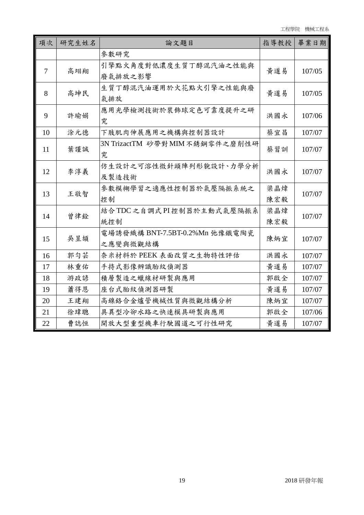| 項次     | 研究生姓名 | 論文題目                                       | 指導教授       | 畢業日期   |
|--------|-------|--------------------------------------------|------------|--------|
|        |       | 參數研究                                       |            |        |
| $\tau$ | 高翊翔   | 引擎點火角度對低濃度生質丁醇混汽油之性能與<br>廢氣排放之影響           | 黃道易        | 107/05 |
| 8      | 高坤民   | 生質丁醇混汽油運用於火花點火引擎之性能與廢<br>氣排放               | 黃道易        | 107/05 |
| 9      | 許瑜娟   | 應用光學檢測技術於裝飾球定色可靠度提升之研<br>究                 | 洪國永        | 107/06 |
| 10     | 涂元德   | 下肢肌肉伸展應用之機構與控制器設計                          | 蔡宜昌        | 107/07 |
| 11     | 葉謹誠   | 3N TrizactTM 砂帶對 MIM 不銹鋼零件之磨削性研<br>究       | 蔡習訓        | 107/07 |
| 12     | 李淳義   | 仿生設計之可溶性微針頭陣列形貌設計、力學分析<br>及製造技術            | 洪國永        | 107/07 |
| 13     | 王敬智   | 參數模糊學習之適應性控制器於氣壓隔振系統之<br>控制                | 梁晶煒<br>陳宏毅 | 107/07 |
| 14     | 曾律銓   | 結合TDC之自調式PI控制器於主動式氣壓隔振系<br>統控制             | 梁晶煒<br>陳宏毅 | 107/07 |
| 15     | 吳昱頡   | 電場誘發織構 BNT-7.5BT-0.2%Mn 弛豫鐵電陶瓷<br>之應變與微觀結構 | 陳炳宜        | 107/07 |
| 16     | 郭匀芸   | 奈米材料於 PEEK 表面改質之生物特性評估                     | 洪國永        | 107/07 |
| 17     | 林重佑   | 手持式影像辨識胎紋偵測器                               | 黃道易        | 107/07 |
| 18     | 游政諺   | 積層製造之蠟線材研製與應用                              | 郭啟全        | 107/07 |
| 19     | 蕭得恩   | 座台式胎紋偵測器研製                                 | 黄道易        | 107/07 |
| 20     | 王建翔   | 高鎳鉻合金爐管機械性質與微觀結構分析                         | 陳炳宜        | 107/07 |
| 21     | 徐瑋聰   | 具異型冷卻水路之快速模具研製與應用                          | 郭啟全        | 107/06 |
| 22     | 曹誌恒   | 開放大型重型機車行駛國道之可行性研究                         | 黃道易        | 107/07 |